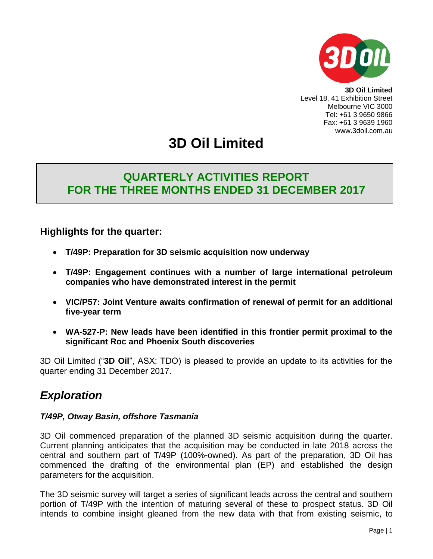

**3D Oil Limited** Level 18, 41 Exhibition Street Melbourne VIC 3000 Tel: +61 3 9650 9866 Fax: +61 3 9639 1960 www.3doil.com.au

# **3D Oil Limited**

## **QUARTERLY ACTIVITIES REPORT FOR THE THREE MONTHS ENDED 31 DECEMBER 2017**

## **Highlights for the quarter:**

- **T/49P: Preparation for 3D seismic acquisition now underway**
- **T/49P: Engagement continues with a number of large international petroleum companies who have demonstrated interest in the permit**
- **VIC/P57: Joint Venture awaits confirmation of renewal of permit for an additional five-year term**
- **WA-527-P: New leads have been identified in this frontier permit proximal to the significant Roc and Phoenix South discoveries**

3D Oil Limited ("**3D Oil**", ASX: TDO) is pleased to provide an update to its activities for the quarter ending 31 December 2017.

## *Exploration*

#### *T/49P, Otway Basin, offshore Tasmania*

3D Oil commenced preparation of the planned 3D seismic acquisition during the quarter. Current planning anticipates that the acquisition may be conducted in late 2018 across the central and southern part of T/49P (100%-owned). As part of the preparation, 3D Oil has commenced the drafting of the environmental plan (EP) and established the design parameters for the acquisition.

The 3D seismic survey will target a series of significant leads across the central and southern portion of T/49P with the intention of maturing several of these to prospect status. 3D Oil intends to combine insight gleaned from the new data with that from existing seismic, to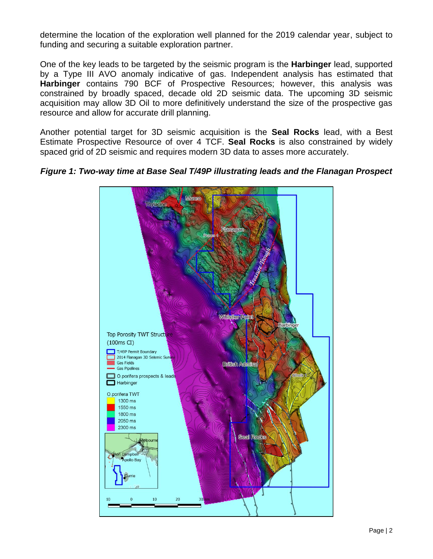determine the location of the exploration well planned for the 2019 calendar year, subject to funding and securing a suitable exploration partner.

One of the key leads to be targeted by the seismic program is the **Harbinger** lead, supported by a Type III AVO anomaly indicative of gas. Independent analysis has estimated that **Harbinger** contains 790 BCF of Prospective Resources; however, this analysis was constrained by broadly spaced, decade old 2D seismic data. The upcoming 3D seismic acquisition may allow 3D Oil to more definitively understand the size of the prospective gas resource and allow for accurate drill planning.

Another potential target for 3D seismic acquisition is the **Seal Rocks** lead, with a Best Estimate Prospective Resource of over 4 TCF. **Seal Rocks** is also constrained by widely spaced grid of 2D seismic and requires modern 3D data to asses more accurately.



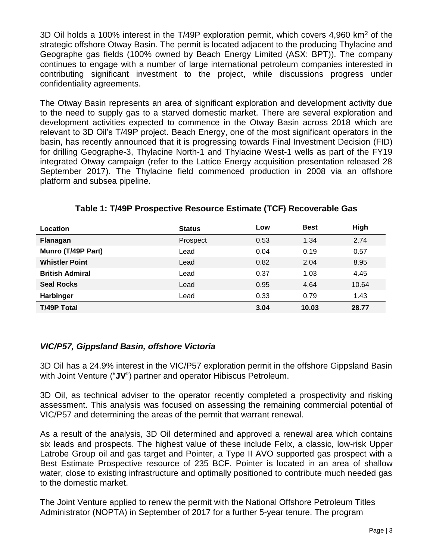3D Oil holds a 100% interest in the T/49P exploration permit, which covers 4,960 km<sup>2</sup> of the strategic offshore Otway Basin. The permit is located adjacent to the producing Thylacine and Geographe gas fields (100% owned by Beach Energy Limited (ASX: BPT)). The company continues to engage with a number of large international petroleum companies interested in contributing significant investment to the project, while discussions progress under confidentiality agreements.

The Otway Basin represents an area of significant exploration and development activity due to the need to supply gas to a starved domestic market. There are several exploration and development activities expected to commence in the Otway Basin across 2018 which are relevant to 3D Oil's T/49P project. Beach Energy, one of the most significant operators in the basin, has recently announced that it is progressing towards Final Investment Decision (FID) for drilling Geographe-3, Thylacine North-1 and Thylacine West-1 wells as part of the FY19 integrated Otway campaign (refer to the Lattice Energy acquisition presentation released 28 September 2017). The Thylacine field commenced production in 2008 via an offshore platform and subsea pipeline.

| Location               | <b>Status</b> | Low  | <b>Best</b> | High  |
|------------------------|---------------|------|-------------|-------|
| Flanagan               | Prospect      | 0.53 | 1.34        | 2.74  |
| Munro (T/49P Part)     | Lead          | 0.04 | 0.19        | 0.57  |
| <b>Whistler Point</b>  | Lead          | 0.82 | 2.04        | 8.95  |
| <b>British Admiral</b> | Lead          | 0.37 | 1.03        | 4.45  |
| <b>Seal Rocks</b>      | Lead          | 0.95 | 4.64        | 10.64 |
| <b>Harbinger</b>       | Lead          | 0.33 | 0.79        | 1.43  |
| <b>T/49P Total</b>     |               | 3.04 | 10.03       | 28.77 |

### **Table 1: T/49P Prospective Resource Estimate (TCF) Recoverable Gas**

### *VIC/P57, Gippsland Basin, offshore Victoria*

3D Oil has a 24.9% interest in the VIC/P57 exploration permit in the offshore Gippsland Basin with Joint Venture ("**JV**") partner and operator Hibiscus Petroleum.

3D Oil, as technical adviser to the operator recently completed a prospectivity and risking assessment. This analysis was focused on assessing the remaining commercial potential of VIC/P57 and determining the areas of the permit that warrant renewal.

As a result of the analysis, 3D Oil determined and approved a renewal area which contains six leads and prospects. The highest value of these include Felix, a classic, low-risk Upper Latrobe Group oil and gas target and Pointer, a Type II AVO supported gas prospect with a Best Estimate Prospective resource of 235 BCF. Pointer is located in an area of shallow water, close to existing infrastructure and optimally positioned to contribute much needed gas to the domestic market.

The Joint Venture applied to renew the permit with the National Offshore Petroleum Titles Administrator (NOPTA) in September of 2017 for a further 5-year tenure. The program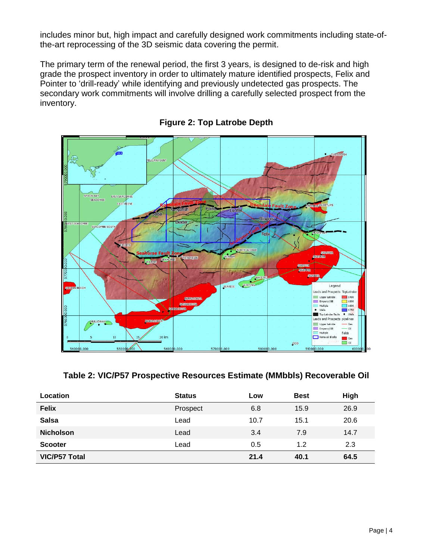includes minor but, high impact and carefully designed work commitments including state-ofthe-art reprocessing of the 3D seismic data covering the permit.

The primary term of the renewal period, the first 3 years, is designed to de-risk and high grade the prospect inventory in order to ultimately mature identified prospects, Felix and Pointer to 'drill-ready' while identifying and previously undetected gas prospects. The secondary work commitments will involve drilling a carefully selected prospect from the inventory.



**Figure 2: Top Latrobe Depth**

**Table 2: VIC/P57 Prospective Resources Estimate (MMbbls) Recoverable Oil**

| Location             | <b>Status</b> | Low  | <b>Best</b> | High |
|----------------------|---------------|------|-------------|------|
| <b>Felix</b>         | Prospect      | 6.8  | 15.9        | 26.9 |
| <b>Salsa</b>         | Lead          | 10.7 | 15.1        | 20.6 |
| <b>Nicholson</b>     | Lead          | 3.4  | 7.9         | 14.7 |
| <b>Scooter</b>       | Lead          | 0.5  | 1.2         | 2.3  |
| <b>VIC/P57 Total</b> |               | 21.4 | 40.1        | 64.5 |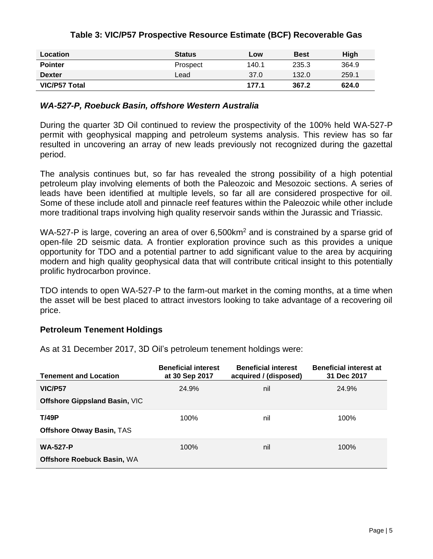| Table 3: VIC/P57 Prospective Resource Estimate (BCF) Recoverable Gas |  |  |  |  |  |  |
|----------------------------------------------------------------------|--|--|--|--|--|--|
|----------------------------------------------------------------------|--|--|--|--|--|--|

| Location       | <b>Status</b> | Low   | <b>Best</b> | <b>High</b> |
|----------------|---------------|-------|-------------|-------------|
| <b>Pointer</b> | Prospect      | 140.1 | 235.3       | 364.9       |
| <b>Dexter</b>  | Lead          | 37.0  | 132.0       | 259.1       |
| VIC/P57 Total  |               | 177.1 | 367.2       | 624.0       |

#### *WA-527-P, Roebuck Basin, offshore Western Australia*

During the quarter 3D Oil continued to review the prospectivity of the 100% held WA-527-P permit with geophysical mapping and petroleum systems analysis. This review has so far resulted in uncovering an array of new leads previously not recognized during the gazettal period.

The analysis continues but, so far has revealed the strong possibility of a high potential petroleum play involving elements of both the Paleozoic and Mesozoic sections. A series of leads have been identified at multiple levels, so far all are considered prospective for oil. Some of these include atoll and pinnacle reef features within the Paleozoic while other include more traditional traps involving high quality reservoir sands within the Jurassic and Triassic.

WA-527-P is large, covering an area of over 6,500km<sup>2</sup> and is constrained by a sparse grid of open-file 2D seismic data. A frontier exploration province such as this provides a unique opportunity for TDO and a potential partner to add significant value to the area by acquiring modern and high quality geophysical data that will contribute critical insight to this potentially prolific hydrocarbon province.

TDO intends to open WA-527-P to the farm-out market in the coming months, at a time when the asset will be best placed to attract investors looking to take advantage of a recovering oil price.

#### **Petroleum Tenement Holdings**

As at 31 December 2017, 3D Oil's petroleum tenement holdings were:

| <b>Tenement and Location</b>                           | <b>Beneficial interest</b><br>at 30 Sep 2017 | <b>Beneficial interest</b><br>acquired / (disposed) | <b>Beneficial interest at</b><br>31 Dec 2017 |
|--------------------------------------------------------|----------------------------------------------|-----------------------------------------------------|----------------------------------------------|
| <b>VIC/P57</b><br><b>Offshore Gippsland Basin, VIC</b> | 24.9%                                        | nil                                                 | 24.9%                                        |
| <b>T/49P</b><br><b>Offshore Otway Basin, TAS</b>       | 100%                                         | nil                                                 | 100%                                         |
| <b>WA-527-P</b><br><b>Offshore Roebuck Basin, WA</b>   | 100%                                         | nil                                                 | 100%                                         |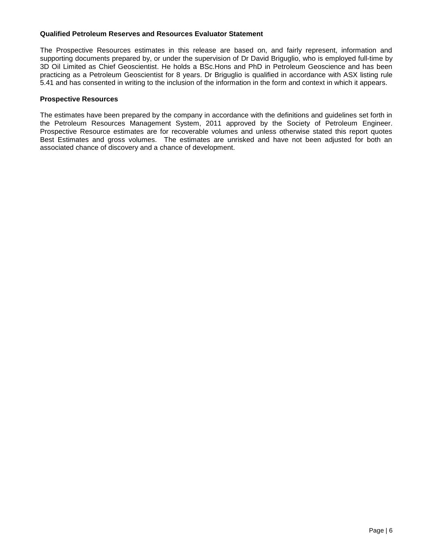#### **Qualified Petroleum Reserves and Resources Evaluator Statement**

The Prospective Resources estimates in this release are based on, and fairly represent, information and supporting documents prepared by, or under the supervision of Dr David Briguglio, who is employed full-time by 3D Oil Limited as Chief Geoscientist. He holds a BSc.Hons and PhD in Petroleum Geoscience and has been practicing as a Petroleum Geoscientist for 8 years. Dr Briguglio is qualified in accordance with ASX listing rule 5.41 and has consented in writing to the inclusion of the information in the form and context in which it appears.

#### **Prospective Resources**

The estimates have been prepared by the company in accordance with the definitions and guidelines set forth in the Petroleum Resources Management System, 2011 approved by the Society of Petroleum Engineer. Prospective Resource estimates are for recoverable volumes and unless otherwise stated this report quotes Best Estimates and gross volumes. The estimates are unrisked and have not been adjusted for both an associated chance of discovery and a chance of development.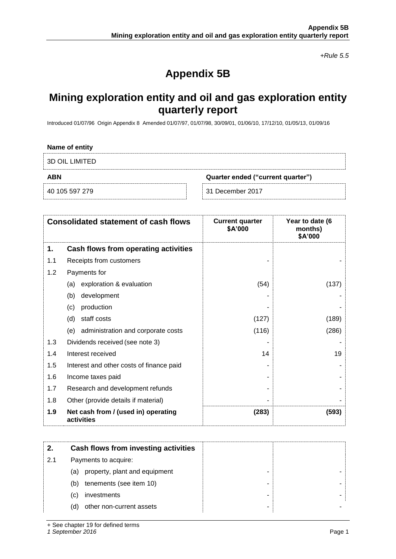*+Rule 5.5*

# **Appendix 5B**

# **Mining exploration entity and oil and gas exploration entity quarterly report**

Introduced 01/07/96 Origin Appendix 8 Amended 01/07/97, 01/07/98, 30/09/01, 01/06/10, 17/12/10, 01/05/13, 01/09/16

| Name of entity |                                   |
|----------------|-----------------------------------|
| 3D OIL LIMITED |                                   |
|                |                                   |
| <b>ABN</b>     | Quarter ended ("current quarter") |

|     | <b>Consolidated statement of cash flows</b>       | <b>Current quarter</b><br>\$A'000 | Year to date (6<br>months)<br>\$A'000 |
|-----|---------------------------------------------------|-----------------------------------|---------------------------------------|
| 1.  | <b>Cash flows from operating activities</b>       |                                   |                                       |
| 1.1 | Receipts from customers                           |                                   |                                       |
| 1.2 | Payments for                                      |                                   |                                       |
|     | exploration & evaluation<br>(a)                   | (54)                              | (137)                                 |
|     | development<br>(b)                                |                                   |                                       |
|     | production<br>(c)                                 |                                   |                                       |
|     | staff costs<br>(d)                                | (127)                             | (189)                                 |
|     | administration and corporate costs<br>(e)         | (116)                             | (286)                                 |
| 1.3 | Dividends received (see note 3)                   |                                   |                                       |
| 1.4 | Interest received                                 | 14                                | 19                                    |
| 1.5 | Interest and other costs of finance paid          |                                   |                                       |
| 1.6 | Income taxes paid                                 |                                   |                                       |
| 1.7 | Research and development refunds                  |                                   |                                       |
| 1.8 | Other (provide details if material)               |                                   |                                       |
| 1.9 | Net cash from / (used in) operating<br>activities | (283)                             | (593)                                 |

|     | Cash flows from investing activities |   |  |
|-----|--------------------------------------|---|--|
| 2.1 | Payments to acquire:                 |   |  |
|     | property, plant and equipment<br>(a) |   |  |
|     | tenements (see item 10)<br>(b)       |   |  |
|     | investments<br>(C)                   | - |  |
|     | other non-current assets<br>(d)      |   |  |

+ See chapter 19 for defined terms

*1 September 2016* Page 1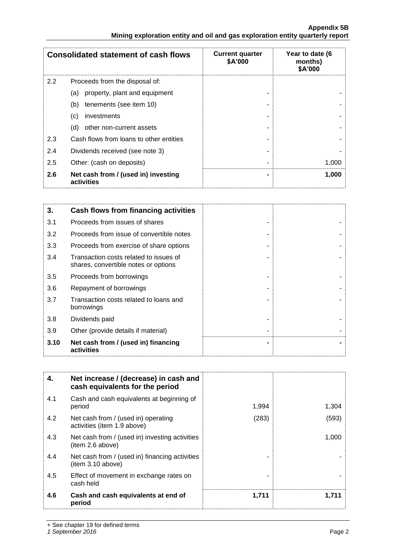|     | <b>Consolidated statement of cash flows</b>       | <b>Current quarter</b><br>\$A'000 | Year to date (6<br>months)<br>\$A'000 |
|-----|---------------------------------------------------|-----------------------------------|---------------------------------------|
| 2.2 | Proceeds from the disposal of:                    |                                   |                                       |
|     | property, plant and equipment<br>(a)              |                                   |                                       |
|     | tenements (see item 10)<br>(b)                    |                                   |                                       |
|     | investments<br>(c)                                |                                   |                                       |
|     | other non-current assets<br>(d)                   |                                   |                                       |
| 2.3 | Cash flows from loans to other entities           |                                   |                                       |
| 2.4 | Dividends received (see note 3)                   |                                   |                                       |
| 2.5 | Other: (cash on deposits)                         |                                   | 1,000                                 |
| 2.6 | Net cash from / (used in) investing<br>activities |                                   | 1,000                                 |

| 3.   | Cash flows from financing activities                                           |  |
|------|--------------------------------------------------------------------------------|--|
| 3.1  | Proceeds from issues of shares                                                 |  |
| 3.2  | Proceeds from issue of convertible notes                                       |  |
| 3.3  | Proceeds from exercise of share options                                        |  |
| 3.4  | Transaction costs related to issues of<br>shares, convertible notes or options |  |
| 3.5  | Proceeds from borrowings                                                       |  |
| 3.6  | Repayment of borrowings                                                        |  |
| 3.7  | Transaction costs related to loans and<br>borrowings                           |  |
| 3.8  | Dividends paid                                                                 |  |
| 3.9  | Other (provide details if material)                                            |  |
| 3.10 | Net cash from / (used in) financing<br>activities                              |  |

| 4.  | Net increase / (decrease) in cash and<br>cash equivalents for the period |       |       |
|-----|--------------------------------------------------------------------------|-------|-------|
| 4.1 | Cash and cash equivalents at beginning of<br>period                      | 1,994 | 1,304 |
| 4.2 | Net cash from / (used in) operating<br>activities (item 1.9 above)       | (283) | (593) |
| 4.3 | Net cash from / (used in) investing activities<br>(item 2.6 above)       |       | 1,000 |
| 4.4 | Net cash from / (used in) financing activities<br>item 3.10 above)       |       |       |
| 4.5 | Effect of movement in exchange rates on<br>cash held                     |       |       |
| 4.6 | Cash and cash equivalents at end of<br>period                            | 1,711 | 1.711 |

+ See chapter 19 for defined terms

*1 September 2016* Page 2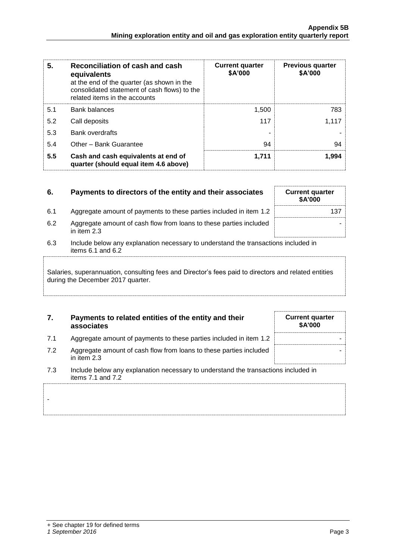| 5.  | Reconciliation of cash and cash<br>equivalents<br>at the end of the quarter (as shown in the<br>consolidated statement of cash flows) to the<br>related items in the accounts | <b>Current quarter</b><br>\$A'000 | <b>Previous quarter</b><br>\$A'000 |
|-----|-------------------------------------------------------------------------------------------------------------------------------------------------------------------------------|-----------------------------------|------------------------------------|
| 5.1 | <b>Bank balances</b>                                                                                                                                                          | 1,500                             | 783                                |
| 5.2 | Call deposits                                                                                                                                                                 | 117                               | 1,117                              |
| 5.3 | <b>Bank overdrafts</b>                                                                                                                                                        |                                   |                                    |
| 5.4 | Other - Bank Guarantee                                                                                                                                                        | 94                                | 94                                 |
| 5.5 | Cash and cash equivalents at end of<br>quarter (should equal item 4.6 above)                                                                                                  | 1,711                             | 1,994                              |

| 6.  | Payments to directors of the entity and their associates                                                    | <b>Current quarter</b><br><b>\$A'000</b> |  |
|-----|-------------------------------------------------------------------------------------------------------------|------------------------------------------|--|
| 6.1 | Aggregate amount of payments to these parties included in item 1.2                                          | 137                                      |  |
| 6.2 | Aggregate amount of cash flow from loans to these parties included<br>in item 2.3                           |                                          |  |
| 6.3 | Include below any explanation necessary to understand the transactions included in<br>items $6.1$ and $6.2$ |                                          |  |
|     |                                                                                                             |                                          |  |

Salaries, superannuation, consulting fees and Director's fees paid to directors and related entities during the December 2017 quarter.

| 7. | Payments to related entities of the entity and their |
|----|------------------------------------------------------|
|    | associates                                           |

7.1 Aggregate amount of payments to these parties included in item 1.2 7.2 Aggregate amount of cash flow from loans to these parties included

| <b>Current quarter</b><br>\$A'000 |
|-----------------------------------|
|                                   |
|                                   |

in item 2.3 7.3 Include below any explanation necessary to understand the transactions included in

items 7.1 and 7.2

-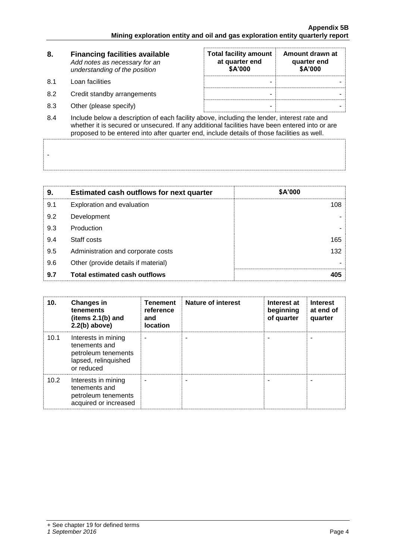| 8.             | <b>Financing facilities available</b><br>Add notes as necessary for an<br>understanding of the position | <b>Total facility amount</b><br>at quarter end<br>\$A'000 | Amount drawn at<br>quarter end<br>\$A'000 |  |
|----------------|---------------------------------------------------------------------------------------------------------|-----------------------------------------------------------|-------------------------------------------|--|
| 8.1            | Loan facilities                                                                                         |                                                           |                                           |  |
| 8.2            | Credit standby arrangements                                                                             | -                                                         |                                           |  |
| 8.3            | Other (please specify)                                                                                  | -                                                         |                                           |  |
| O <sub>A</sub> | lpolude helew a deserintion of each foojity above including the lender, interest rate and               |                                                           |                                           |  |

8.4 Include below a description of each facility above, including the lender, interest rate and whether it is secured or unsecured. If any additional facilities have been entered into or are proposed to be entered into after quarter end, include details of those facilities as well.

| 9.  | <b>Estimated cash outflows for next quarter</b> | \$A'000 |
|-----|-------------------------------------------------|---------|
| 9.1 | Exploration and evaluation                      | 108     |
| 9.2 | Development                                     |         |
| 9.3 | Production                                      |         |
| 9.4 | Staff costs                                     | 165     |
| 9.5 | Administration and corporate costs              | 132     |
| 9.6 | Other (provide details if material)             |         |
| 9.7 | <b>Total estimated cash outflows</b>            | 405     |

| 10.  | <b>Changes in</b><br>tenements<br>(items $2.1(b)$ and<br>$2.2(b)$ above)                          | <b>Tenement</b><br>reference<br>and<br><b>location</b> | <b>Nature of interest</b> | Interest at<br>beginning<br>of quarter | <b>Interest</b><br>at end of<br>quarter |
|------|---------------------------------------------------------------------------------------------------|--------------------------------------------------------|---------------------------|----------------------------------------|-----------------------------------------|
| 10.1 | Interests in mining<br>tenements and<br>petroleum tenements<br>lapsed, relinquished<br>or reduced |                                                        |                           |                                        |                                         |
| 10.2 | Interests in mining<br>tenements and<br>petroleum tenements<br>acquired or increased              |                                                        |                           |                                        |                                         |

-